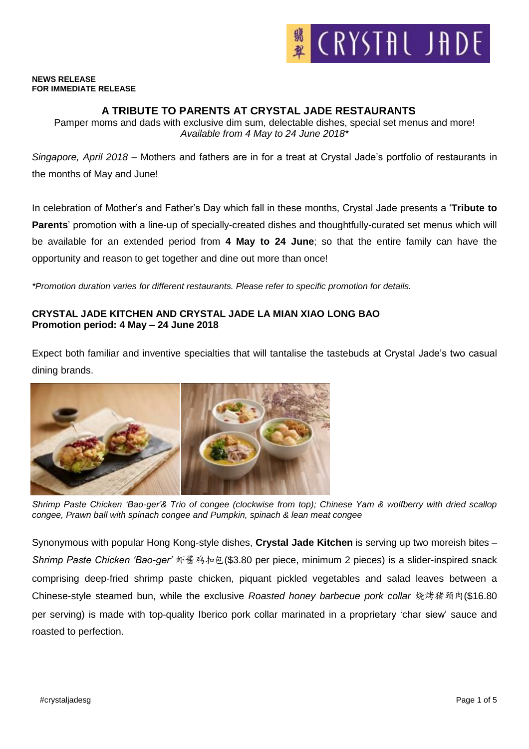

#### **NEWS RELEASE FOR IMMEDIATE RELEASE**

### **A TRIBUTE TO PARENTS AT CRYSTAL JADE RESTAURANTS**

Pamper moms and dads with exclusive dim sum, delectable dishes, special set menus and more! *Available from 4 May to 24 June 2018\**

*Singapore, April 2018* – Mothers and fathers are in for a treat at Crystal Jade's portfolio of restaurants in the months of May and June!

In celebration of Mother's and Father's Day which fall in these months, Crystal Jade presents a '**Tribute to Parents**' promotion with a line-up of specially-created dishes and thoughtfully-curated set menus which will be available for an extended period from **4 May to 24 June**; so that the entire family can have the opportunity and reason to get together and dine out more than once!

*\*Promotion duration varies for different restaurants. Please refer to specific promotion for details.*

## **CRYSTAL JADE KITCHEN AND CRYSTAL JADE LA MIAN XIAO LONG BAO Promotion period: 4 May – 24 June 2018**

Expect both familiar and inventive specialties that will tantalise the tastebuds at Crystal Jade's two casual dining brands.



*Shrimp Paste Chicken 'Bao-ger'& Trio of congee (clockwise from top); Chinese Yam & wolfberry with dried scallop congee, Prawn ball with spinach congee and Pumpkin, spinach & lean meat congee*

Synonymous with popular Hong Kong-style dishes, **Crystal Jade Kitchen** is serving up two moreish bites – *Shrimp Paste Chicken 'Bao-ger'* 虾酱鸡扣包(\$3.80 per piece, minimum 2 pieces) is a slider-inspired snack comprising deep-fried shrimp paste chicken, piquant pickled vegetables and salad leaves between a Chinese-style steamed bun, while the exclusive *Roasted honey barbecue pork collar* 烧烤猪颈肉(\$16.80 per serving) is made with top-quality Iberico pork collar marinated in a proprietary 'char siew' sauce and roasted to perfection.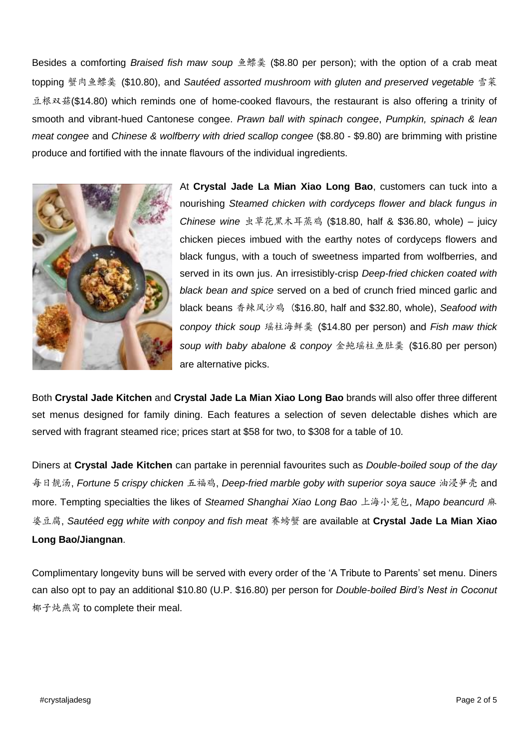Besides a comforting *Braised fish maw soup* 鱼鳔羹 (\$8.80 per person); with the option of a crab meat topping 蟹肉鱼鳔羹 (\$10.80), and *Sautéed assorted mushroom with gluten and preserved vegetable* 雪菜 豆根双菇(\$14.80) which reminds one of home-cooked flavours, the restaurant is also offering a trinity of smooth and vibrant-hued Cantonese congee. *Prawn ball with spinach congee*, *Pumpkin, spinach & lean meat congee* and *Chinese & wolfberry with dried scallop congee* (\$8.80 - \$9.80) are brimming with pristine produce and fortified with the innate flavours of the individual ingredients.



At **Crystal Jade La Mian Xiao Long Bao**, customers can tuck into a nourishing *Steamed chicken with cordyceps flower and black fungus in Chinese wine* 虫草花黑木耳蒸鸡 (\$18.80, half & \$36.80, whole) – juicy chicken pieces imbued with the earthy notes of cordyceps flowers and black fungus, with a touch of sweetness imparted from wolfberries, and served in its own jus. An irresistibly-crisp *Deep-fried chicken coated with black bean and spice* served on a bed of crunch fried minced garlic and black beans 香辣风沙鸡 (\$16.80, half and \$32.80, whole), *Seafood with conpoy thick soup* 瑶柱海鲜羹 (\$14.80 per person) and *Fish maw thick soup with baby abalone & conpoy* 金鲍瑶柱鱼肚羹 (\$16.80 per person) are alternative picks.

Both **Crystal Jade Kitchen** and **Crystal Jade La Mian Xiao Long Bao** brands will also offer three different set menus designed for family dining. Each features a selection of seven delectable dishes which are served with fragrant steamed rice; prices start at \$58 for two, to \$308 for a table of 10.

Diners at **Crystal Jade Kitchen** can partake in perennial favourites such as *Double-boiled soup of the day* 每日靓汤, *Fortune 5 crispy chicken* 五福鸡, *Deep-fried marble goby with superior soya sauce* 油浸笋壳 and more. Tempting specialties the likes of *Steamed Shanghai Xiao Long Bao* 上海小笼包, *Mapo beancurd* 麻 婆豆腐, *Sautéed egg white with conpoy and fish meat* 赛螃蟹 are available at **Crystal Jade La Mian Xiao Long Bao/Jiangnan**.

Complimentary longevity buns will be served with every order of the 'A Tribute to Parents' set menu. Diners can also opt to pay an additional \$10.80 (U.P. \$16.80) per person for *Double-boiled Bird's Nest in Coconut*  椰子炖燕窝 to complete their meal.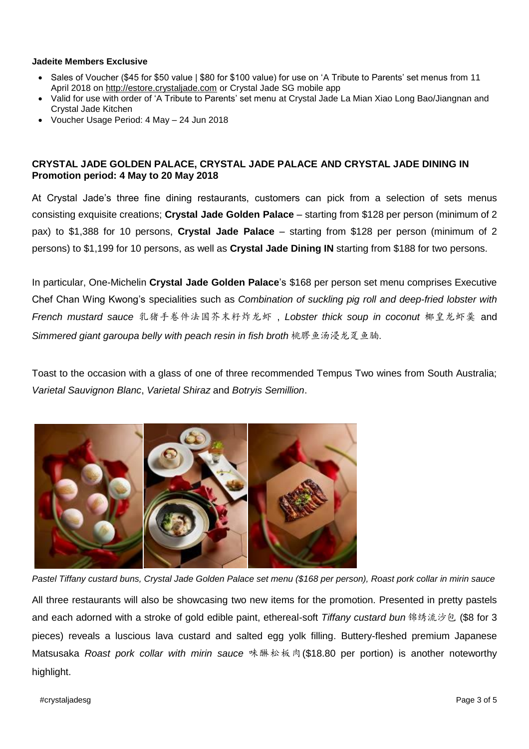### **Jadeite Members Exclusive**

- Sales of Voucher (\$45 for \$50 value | \$80 for \$100 value) for use on 'A Tribute to Parents' set menus from 11 April 2018 on [http://estore.crystaljade.com](http://estore.crystaljade.com/) or Crystal Jade SG mobile app
- Valid for use with order of 'A Tribute to Parents' set menu at Crystal Jade La Mian Xiao Long Bao/Jiangnan and Crystal Jade Kitchen
- Voucher Usage Period: 4 May 24 Jun 2018

# **CRYSTAL JADE GOLDEN PALACE, CRYSTAL JADE PALACE AND CRYSTAL JADE DINING IN Promotion period: 4 May to 20 May 2018**

At Crystal Jade's three fine dining restaurants, customers can pick from a selection of sets menus consisting exquisite creations; **Crystal Jade Golden Palace** – starting from \$128 per person (minimum of 2 pax) to \$1,388 for 10 persons, **Crystal Jade Palace** – starting from \$128 per person (minimum of 2 persons) to \$1,199 for 10 persons, as well as **Crystal Jade Dining IN** starting from \$188 for two persons.

In particular, One-Michelin **Crystal Jade Golden Palace**'s \$168 per person set menu comprises Executive Chef Chan Wing Kwong's specialities such as *Combination of suckling pig roll and deep-fried lobster with French mustard sauce* 乳猪手卷件法国芥末籽炸龙虾 , *Lobster thick soup in coconut* 椰皇龙虾羹 and *Simmered giant garoupa belly with peach resin in fish broth* 桃膠鱼汤浸龙趸鱼腩.

Toast to the occasion with a glass of one of three recommended Tempus Two wines from South Australia; *Varietal Sauvignon Blanc*, *Varietal Shiraz* and *Botryis Semillion*.



*Pastel Tiffany custard buns, Crystal Jade Golden Palace set menu (\$168 per person), Roast pork collar in mirin sauce* All three restaurants will also be showcasing two new items for the promotion. Presented in pretty pastels and each adorned with a stroke of gold edible paint, ethereal-soft *Tiffany custard bun* 锦绣流沙包 (\$8 for 3 pieces) reveals a luscious lava custard and salted egg yolk filling. Buttery-fleshed premium Japanese Matsusaka *Roast pork collar with mirin sauce* 味醂松板肉(\$18.80 per portion) is another noteworthy highlight.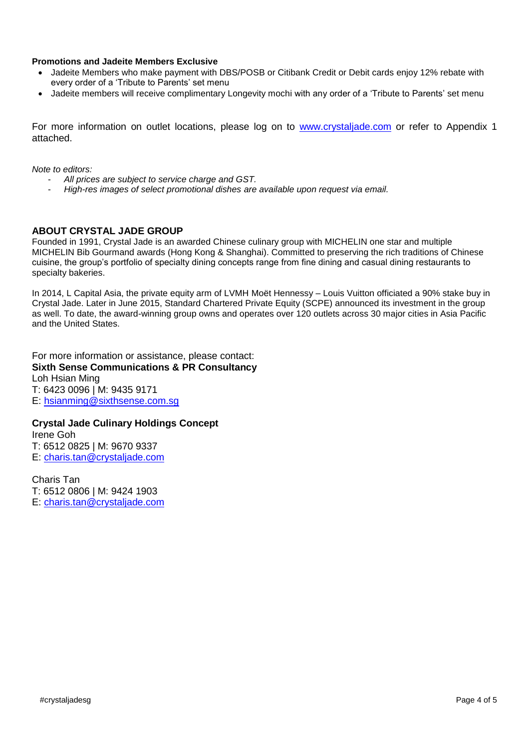### **Promotions and Jadeite Members Exclusive**

- Jadeite Members who make payment with DBS/POSB or Citibank Credit or Debit cards enjoy 12% rebate with every order of a 'Tribute to Parents' set menu
- Jadeite members will receive complimentary Longevity mochi with any order of a 'Tribute to Parents' set menu

For more information on outlet locations, please log on to [www.crystaljade.com](http://www.crystaljade.com/) or refer to Appendix 1 attached.

*Note to editors:* 

- *All prices are subject to service charge and GST.*
- *High-res images of select promotional dishes are available upon request via email.*

#### **ABOUT CRYSTAL JADE GROUP**

Founded in 1991, Crystal Jade is an awarded Chinese culinary group with MICHELIN one star and multiple MICHELIN Bib Gourmand awards (Hong Kong & Shanghai). Committed to preserving the rich traditions of Chinese cuisine, the group's portfolio of specialty dining concepts range from fine dining and casual dining restaurants to specialty bakeries.

In 2014, L Capital Asia, the private equity arm of LVMH Moët Hennessy – Louis Vuitton officiated a 90% stake buy in Crystal Jade. Later in June 2015, Standard Chartered Private Equity (SCPE) announced its investment in the group as well. To date, the award-winning group owns and operates over 120 outlets across 30 major cities in Asia Pacific and the United States.

For more information or assistance, please contact: **Sixth Sense Communications & PR Consultancy** Loh Hsian Ming T: 6423 0096 | M: 9435 9171 E: [hsianming@sixthsense.com.sg](mailto:hsianming@sixthsense.com.sg)

**Crystal Jade Culinary Holdings Concept** Irene Goh T: 6512 0825 | M: 9670 9337 E: [charis.tan@crystaljade.com](mailto:charis.tan@crystaljade.com)

Charis Tan T: 6512 0806 | M: 9424 1903 E: [charis.tan@crystaljade.com](mailto:charis.tan@crystaljade.com)